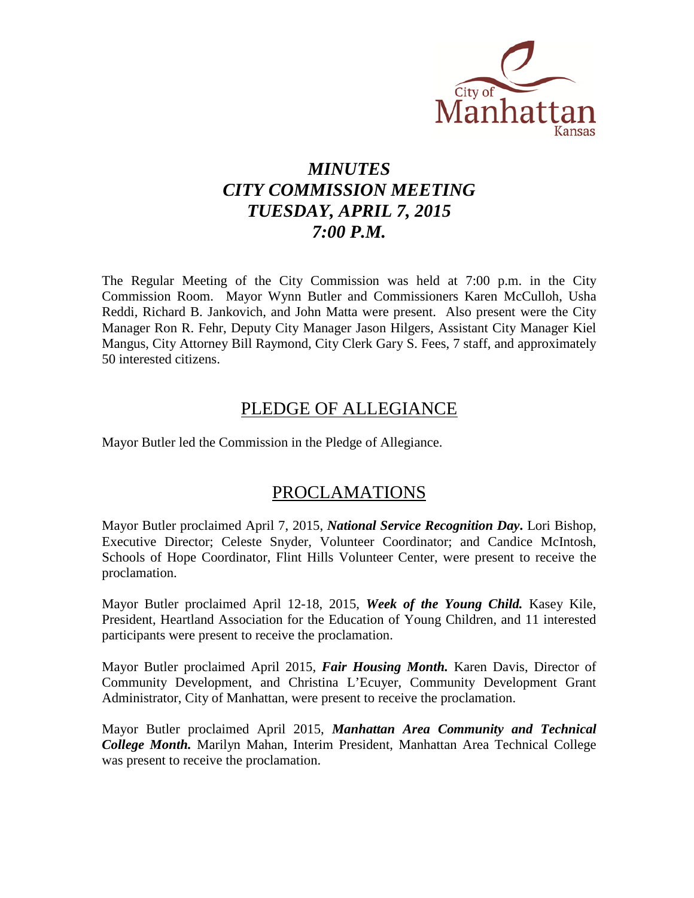

# *MINUTES CITY COMMISSION MEETING TUESDAY, APRIL 7, 2015 7:00 P.M.*

The Regular Meeting of the City Commission was held at 7:00 p.m. in the City Commission Room. Mayor Wynn Butler and Commissioners Karen McCulloh, Usha Reddi, Richard B. Jankovich, and John Matta were present. Also present were the City Manager Ron R. Fehr, Deputy City Manager Jason Hilgers, Assistant City Manager Kiel Mangus, City Attorney Bill Raymond, City Clerk Gary S. Fees, 7 staff, and approximately 50 interested citizens.

## PLEDGE OF ALLEGIANCE

Mayor Butler led the Commission in the Pledge of Allegiance.

## PROCLAMATIONS

Mayor Butler proclaimed April 7, 2015, *National Service Recognition Day***.** Lori Bishop, Executive Director; Celeste Snyder, Volunteer Coordinator; and Candice McIntosh, Schools of Hope Coordinator, Flint Hills Volunteer Center, were present to receive the proclamation.

Mayor Butler proclaimed April 12-18, 2015, *Week of the Young Child.* Kasey Kile, President, Heartland Association for the Education of Young Children, and 11 interested participants were present to receive the proclamation.

Mayor Butler proclaimed April 2015, *Fair Housing Month.* Karen Davis, Director of Community Development, and Christina L'Ecuyer, Community Development Grant Administrator, City of Manhattan, were present to receive the proclamation.

Mayor Butler proclaimed April 2015, *Manhattan Area Community and Technical College Month.* Marilyn Mahan, Interim President, Manhattan Area Technical College was present to receive the proclamation.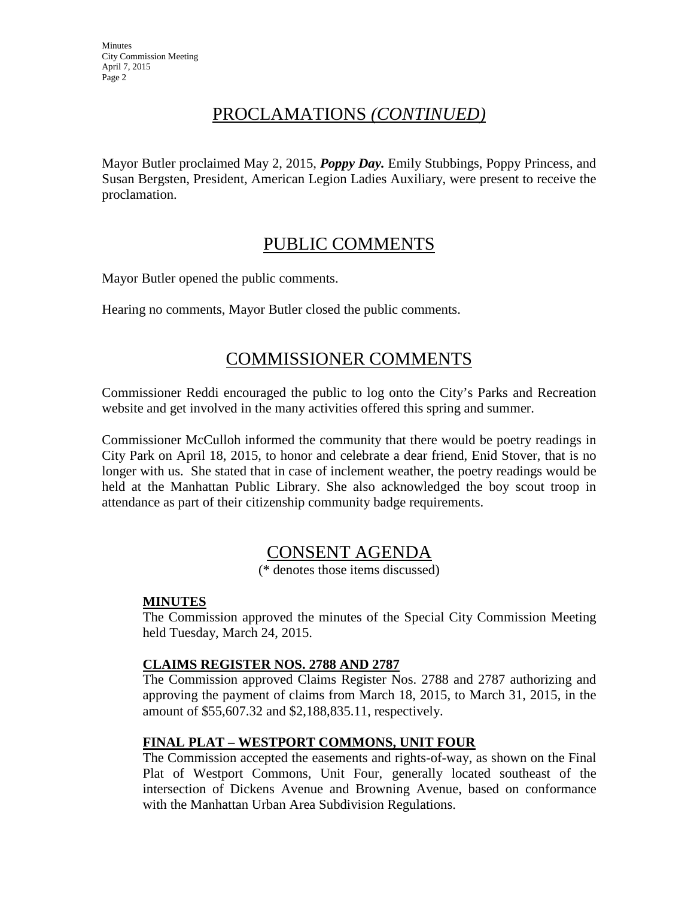**Minutes** City Commission Meeting April 7, 2015 Page 2

# PROCLAMATIONS *(CONTINUED)*

Mayor Butler proclaimed May 2, 2015, *Poppy Day.* Emily Stubbings, Poppy Princess, and Susan Bergsten, President, American Legion Ladies Auxiliary, were present to receive the proclamation.

## PUBLIC COMMENTS

Mayor Butler opened the public comments.

Hearing no comments, Mayor Butler closed the public comments.

## COMMISSIONER COMMENTS

Commissioner Reddi encouraged the public to log onto the City's Parks and Recreation website and get involved in the many activities offered this spring and summer.

Commissioner McCulloh informed the community that there would be poetry readings in City Park on April 18, 2015, to honor and celebrate a dear friend, Enid Stover, that is no longer with us. She stated that in case of inclement weather, the poetry readings would be held at the Manhattan Public Library. She also acknowledged the boy scout troop in attendance as part of their citizenship community badge requirements.

## CONSENT AGENDA

(\* denotes those items discussed)

## **MINUTES**

The Commission approved the minutes of the Special City Commission Meeting held Tuesday, March 24, 2015.

## **CLAIMS REGISTER NOS. 2788 AND 2787**

The Commission approved Claims Register Nos. 2788 and 2787 authorizing and approving the payment of claims from March 18, 2015, to March 31, 2015, in the amount of \$55,607.32 and \$2,188,835.11, respectively.

## **FINAL PLAT – WESTPORT COMMONS, UNIT FOUR**

The Commission accepted the easements and rights-of-way, as shown on the Final Plat of Westport Commons, Unit Four, generally located southeast of the intersection of Dickens Avenue and Browning Avenue, based on conformance with the Manhattan Urban Area Subdivision Regulations.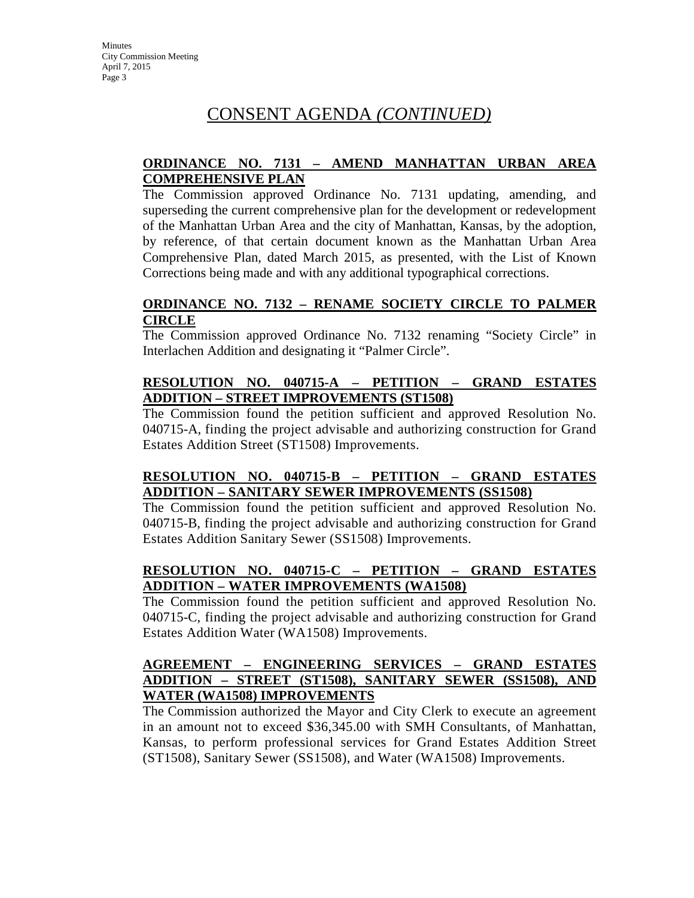## **ORDINANCE NO. 7131 – AMEND MANHATTAN URBAN AREA COMPREHENSIVE PLAN**

The Commission approved Ordinance No. 7131 updating, amending, and superseding the current comprehensive plan for the development or redevelopment of the Manhattan Urban Area and the city of Manhattan, Kansas, by the adoption, by reference, of that certain document known as the Manhattan Urban Area Comprehensive Plan, dated March 2015, as presented, with the List of Known Corrections being made and with any additional typographical corrections.

### **ORDINANCE NO. 7132 – RENAME SOCIETY CIRCLE TO PALMER CIRCLE**

The Commission approved Ordinance No. 7132 renaming "Society Circle" in Interlachen Addition and designating it "Palmer Circle".

## **RESOLUTION NO. 040715-A – PETITION – GRAND ESTATES ADDITION – STREET IMPROVEMENTS (ST1508)**

The Commission found the petition sufficient and approved Resolution No. 040715-A, finding the project advisable and authorizing construction for Grand Estates Addition Street (ST1508) Improvements.

## **RESOLUTION NO. 040715-B – PETITION – GRAND ESTATES ADDITION – SANITARY SEWER IMPROVEMENTS (SS1508)**

The Commission found the petition sufficient and approved Resolution No. 040715-B, finding the project advisable and authorizing construction for Grand Estates Addition Sanitary Sewer (SS1508) Improvements.

## **RESOLUTION NO. 040715-C – PETITION – GRAND ESTATES ADDITION – WATER IMPROVEMENTS (WA1508)**

The Commission found the petition sufficient and approved Resolution No. 040715-C, finding the project advisable and authorizing construction for Grand Estates Addition Water (WA1508) Improvements.

## **AGREEMENT – ENGINEERING SERVICES – GRAND ESTATES ADDITION – STREET (ST1508), SANITARY SEWER (SS1508), AND WATER (WA1508) IMPROVEMENTS**

The Commission authorized the Mayor and City Clerk to execute an agreement in an amount not to exceed \$36,345.00 with SMH Consultants, of Manhattan, Kansas, to perform professional services for Grand Estates Addition Street (ST1508), Sanitary Sewer (SS1508), and Water (WA1508) Improvements.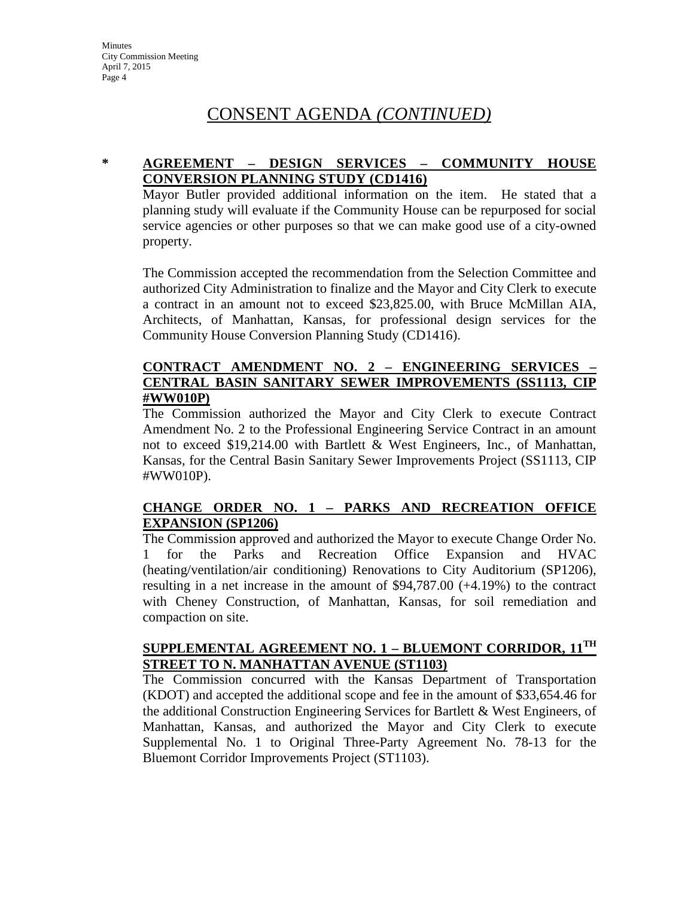## **\* AGREEMENT – DESIGN SERVICES – COMMUNITY HOUSE CONVERSION PLANNING STUDY (CD1416)**

Mayor Butler provided additional information on the item. He stated that a planning study will evaluate if the Community House can be repurposed for social service agencies or other purposes so that we can make good use of a city-owned property.

The Commission accepted the recommendation from the Selection Committee and authorized City Administration to finalize and the Mayor and City Clerk to execute a contract in an amount not to exceed \$23,825.00, with Bruce McMillan AIA, Architects, of Manhattan, Kansas, for professional design services for the Community House Conversion Planning Study (CD1416).

## **CONTRACT AMENDMENT NO. 2 – ENGINEERING SERVICES – CENTRAL BASIN SANITARY SEWER IMPROVEMENTS (SS1113, CIP #WW010P)**

The Commission authorized the Mayor and City Clerk to execute Contract Amendment No. 2 to the Professional Engineering Service Contract in an amount not to exceed \$19,214.00 with Bartlett & West Engineers, Inc., of Manhattan, Kansas, for the Central Basin Sanitary Sewer Improvements Project (SS1113, CIP #WW010P).

## **CHANGE ORDER NO. 1 – PARKS AND RECREATION OFFICE EXPANSION (SP1206)**

The Commission approved and authorized the Mayor to execute Change Order No. 1 for the Parks and Recreation Office Expansion and HVAC (heating/ventilation/air conditioning) Renovations to City Auditorium (SP1206), resulting in a net increase in the amount of \$94,787.00 (+4.19%) to the contract with Cheney Construction, of Manhattan, Kansas, for soil remediation and compaction on site.

#### **SUPPLEMENTAL AGREEMENT NO. 1 – BLUEMONT CORRIDOR, 11TH STREET TO N. MANHATTAN AVENUE (ST1103)**

The Commission concurred with the Kansas Department of Transportation (KDOT) and accepted the additional scope and fee in the amount of \$33,654.46 for the additional Construction Engineering Services for Bartlett & West Engineers, of Manhattan, Kansas, and authorized the Mayor and City Clerk to execute Supplemental No. 1 to Original Three-Party Agreement No. 78-13 for the Bluemont Corridor Improvements Project (ST1103).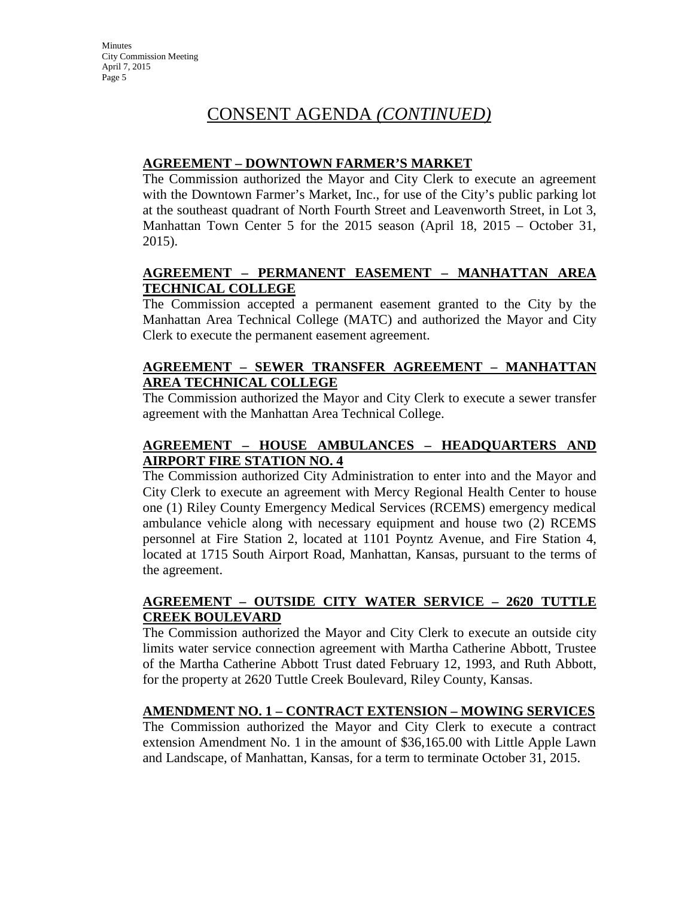## **AGREEMENT – DOWNTOWN FARMER'S MARKET**

The Commission authorized the Mayor and City Clerk to execute an agreement with the Downtown Farmer's Market, Inc., for use of the City's public parking lot at the southeast quadrant of North Fourth Street and Leavenworth Street, in Lot 3, Manhattan Town Center 5 for the 2015 season (April 18, 2015 – October 31, 2015).

## **AGREEMENT – PERMANENT EASEMENT – MANHATTAN AREA TECHNICAL COLLEGE**

The Commission accepted a permanent easement granted to the City by the Manhattan Area Technical College (MATC) and authorized the Mayor and City Clerk to execute the permanent easement agreement.

## **AGREEMENT – SEWER TRANSFER AGREEMENT – MANHATTAN AREA TECHNICAL COLLEGE**

The Commission authorized the Mayor and City Clerk to execute a sewer transfer agreement with the Manhattan Area Technical College.

## **AGREEMENT – HOUSE AMBULANCES – HEADQUARTERS AND AIRPORT FIRE STATION NO. 4**

The Commission authorized City Administration to enter into and the Mayor and City Clerk to execute an agreement with Mercy Regional Health Center to house one (1) Riley County Emergency Medical Services (RCEMS) emergency medical ambulance vehicle along with necessary equipment and house two (2) RCEMS personnel at Fire Station 2, located at 1101 Poyntz Avenue, and Fire Station 4, located at 1715 South Airport Road, Manhattan, Kansas, pursuant to the terms of the agreement.

## **AGREEMENT – OUTSIDE CITY WATER SERVICE – 2620 TUTTLE CREEK BOULEVARD**

The Commission authorized the Mayor and City Clerk to execute an outside city limits water service connection agreement with Martha Catherine Abbott, Trustee of the Martha Catherine Abbott Trust dated February 12, 1993, and Ruth Abbott, for the property at 2620 Tuttle Creek Boulevard, Riley County, Kansas.

## **AMENDMENT NO. 1 – CONTRACT EXTENSION – MOWING SERVICES**

The Commission authorized the Mayor and City Clerk to execute a contract extension Amendment No. 1 in the amount of \$36,165.00 with Little Apple Lawn and Landscape, of Manhattan, Kansas, for a term to terminate October 31, 2015.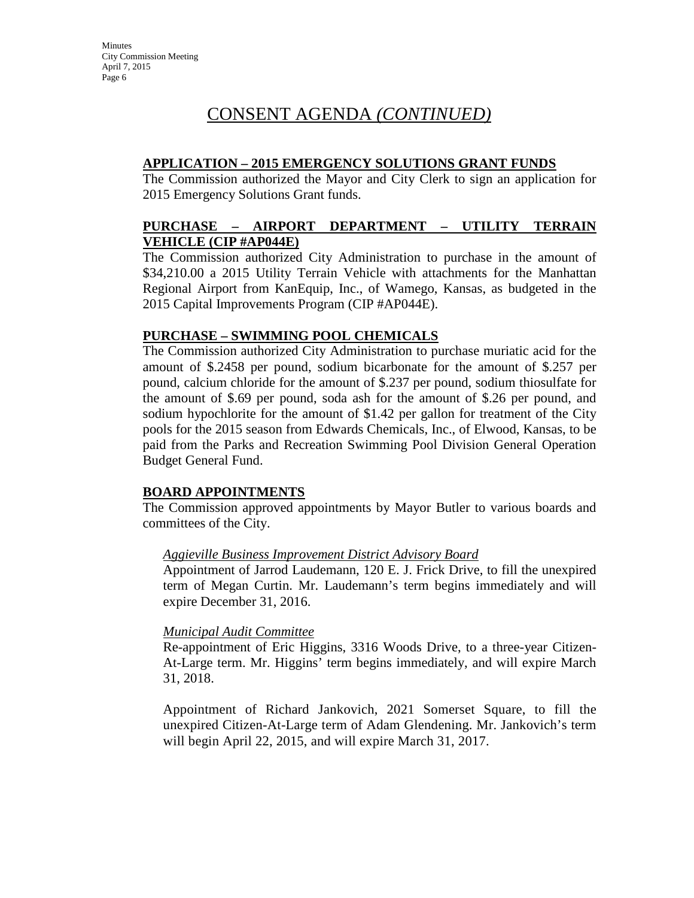## **APPLICATION – 2015 EMERGENCY SOLUTIONS GRANT FUNDS**

The Commission authorized the Mayor and City Clerk to sign an application for 2015 Emergency Solutions Grant funds.

## **PURCHASE – AIRPORT DEPARTMENT – UTILITY TERRAIN VEHICLE (CIP #AP044E)**

The Commission authorized City Administration to purchase in the amount of \$34,210.00 a 2015 Utility Terrain Vehicle with attachments for the Manhattan Regional Airport from KanEquip, Inc., of Wamego, Kansas, as budgeted in the 2015 Capital Improvements Program (CIP #AP044E).

## **PURCHASE – SWIMMING POOL CHEMICALS**

The Commission authorized City Administration to purchase muriatic acid for the amount of \$.2458 per pound, sodium bicarbonate for the amount of \$.257 per pound, calcium chloride for the amount of \$.237 per pound, sodium thiosulfate for the amount of \$.69 per pound, soda ash for the amount of \$.26 per pound, and sodium hypochlorite for the amount of \$1.42 per gallon for treatment of the City pools for the 2015 season from Edwards Chemicals, Inc., of Elwood, Kansas, to be paid from the Parks and Recreation Swimming Pool Division General Operation Budget General Fund.

## **BOARD APPOINTMENTS**

The Commission approved appointments by Mayor Butler to various boards and committees of the City.

## *Aggieville Business Improvement District Advisory Board*

Appointment of Jarrod Laudemann, 120 E. J. Frick Drive, to fill the unexpired term of Megan Curtin. Mr. Laudemann's term begins immediately and will expire December 31, 2016.

## *Municipal Audit Committee*

Re-appointment of Eric Higgins, 3316 Woods Drive, to a three-year Citizen-At-Large term. Mr. Higgins' term begins immediately, and will expire March 31, 2018.

Appointment of Richard Jankovich, 2021 Somerset Square, to fill the unexpired Citizen-At-Large term of Adam Glendening. Mr. Jankovich's term will begin April 22, 2015, and will expire March 31, 2017.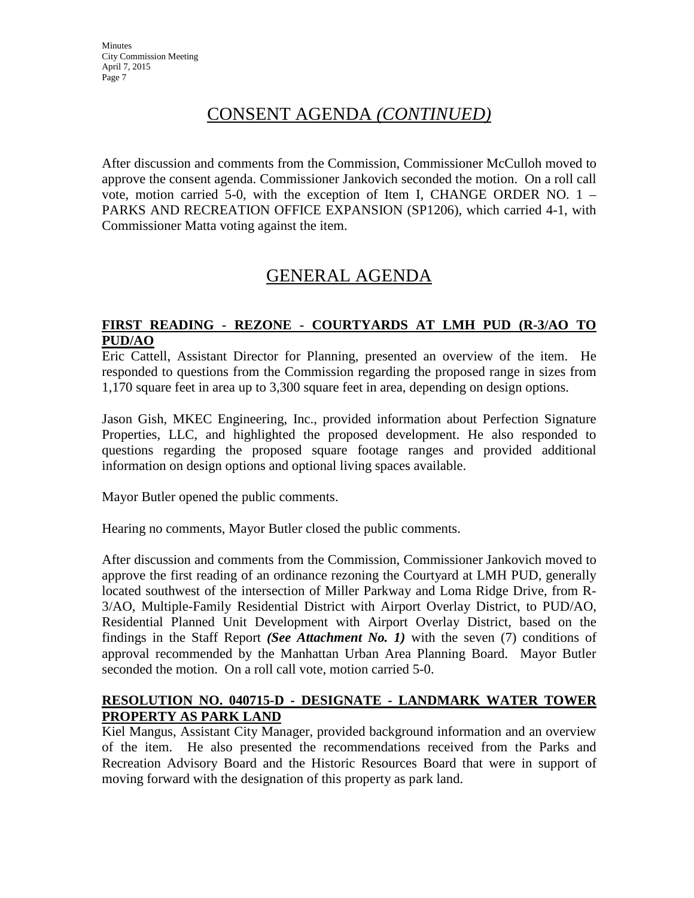After discussion and comments from the Commission, Commissioner McCulloh moved to approve the consent agenda. Commissioner Jankovich seconded the motion. On a roll call vote, motion carried 5-0, with the exception of Item I, CHANGE ORDER NO. 1 – PARKS AND RECREATION OFFICE EXPANSION (SP1206), which carried 4-1, with Commissioner Matta voting against the item.

# GENERAL AGENDA

### **FIRST READING - REZONE - COURTYARDS AT LMH PUD (R-3/AO TO PUD/AO**

Eric Cattell, Assistant Director for Planning, presented an overview of the item. He responded to questions from the Commission regarding the proposed range in sizes from 1,170 square feet in area up to 3,300 square feet in area, depending on design options.

Jason Gish, MKEC Engineering, Inc., provided information about Perfection Signature Properties, LLC, and highlighted the proposed development. He also responded to questions regarding the proposed square footage ranges and provided additional information on design options and optional living spaces available.

Mayor Butler opened the public comments.

Hearing no comments, Mayor Butler closed the public comments.

After discussion and comments from the Commission, Commissioner Jankovich moved to approve the first reading of an ordinance rezoning the Courtyard at LMH PUD, generally located southwest of the intersection of Miller Parkway and Loma Ridge Drive, from R-3/AO, Multiple-Family Residential District with Airport Overlay District, to PUD/AO, Residential Planned Unit Development with Airport Overlay District, based on the findings in the Staff Report *(See Attachment No. 1)* with the seven (7) conditions of approval recommended by the Manhattan Urban Area Planning Board. Mayor Butler seconded the motion. On a roll call vote, motion carried 5-0.

## **RESOLUTION NO. 040715-D - DESIGNATE - LANDMARK WATER TOWER PROPERTY AS PARK LAND**

Kiel Mangus, Assistant City Manager, provided background information and an overview of the item. He also presented the recommendations received from the Parks and Recreation Advisory Board and the Historic Resources Board that were in support of moving forward with the designation of this property as park land.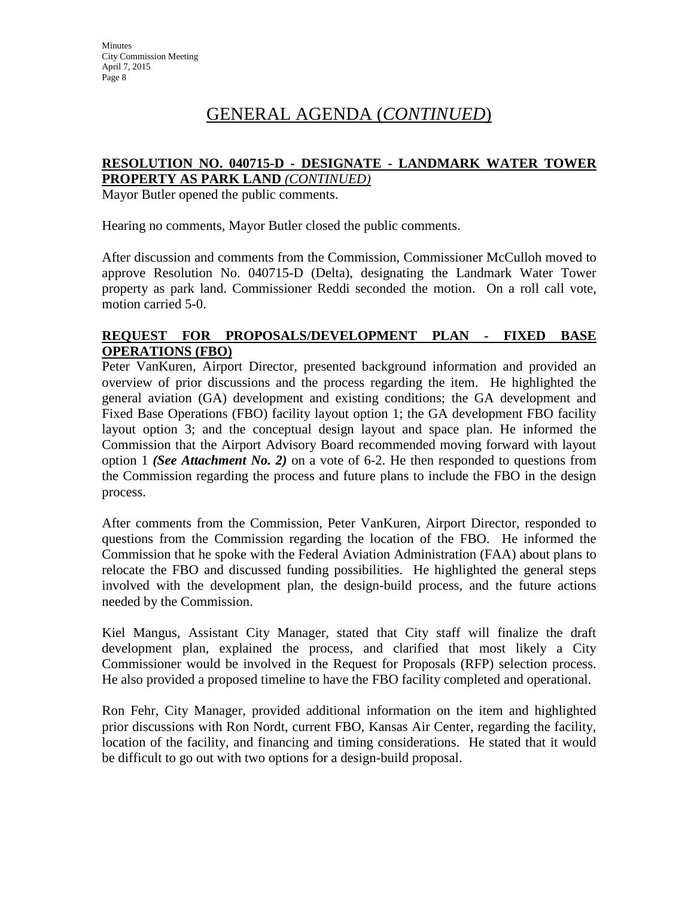# GENERAL AGENDA (*CONTINUED*)

## **RESOLUTION NO. 040715-D - DESIGNATE - LANDMARK WATER TOWER PROPERTY AS PARK LAND** *(CONTINUED)*

Mayor Butler opened the public comments.

Hearing no comments, Mayor Butler closed the public comments.

After discussion and comments from the Commission, Commissioner McCulloh moved to approve Resolution No. 040715-D (Delta), designating the Landmark Water Tower property as park land. Commissioner Reddi seconded the motion. On a roll call vote, motion carried 5-0.

#### **REQUEST FOR PROPOSALS/DEVELOPMENT PLAN - FIXED BASE OPERATIONS (FBO)**

Peter VanKuren, Airport Director, presented background information and provided an overview of prior discussions and the process regarding the item. He highlighted the general aviation (GA) development and existing conditions; the GA development and Fixed Base Operations (FBO) facility layout option 1; the GA development FBO facility layout option 3; and the conceptual design layout and space plan. He informed the Commission that the Airport Advisory Board recommended moving forward with layout option 1 *(See Attachment No. 2)* on a vote of 6-2. He then responded to questions from the Commission regarding the process and future plans to include the FBO in the design process.

After comments from the Commission, Peter VanKuren, Airport Director, responded to questions from the Commission regarding the location of the FBO. He informed the Commission that he spoke with the Federal Aviation Administration (FAA) about plans to relocate the FBO and discussed funding possibilities. He highlighted the general steps involved with the development plan, the design-build process, and the future actions needed by the Commission.

Kiel Mangus, Assistant City Manager, stated that City staff will finalize the draft development plan, explained the process, and clarified that most likely a City Commissioner would be involved in the Request for Proposals (RFP) selection process. He also provided a proposed timeline to have the FBO facility completed and operational.

Ron Fehr, City Manager, provided additional information on the item and highlighted prior discussions with Ron Nordt, current FBO, Kansas Air Center, regarding the facility, location of the facility, and financing and timing considerations. He stated that it would be difficult to go out with two options for a design-build proposal.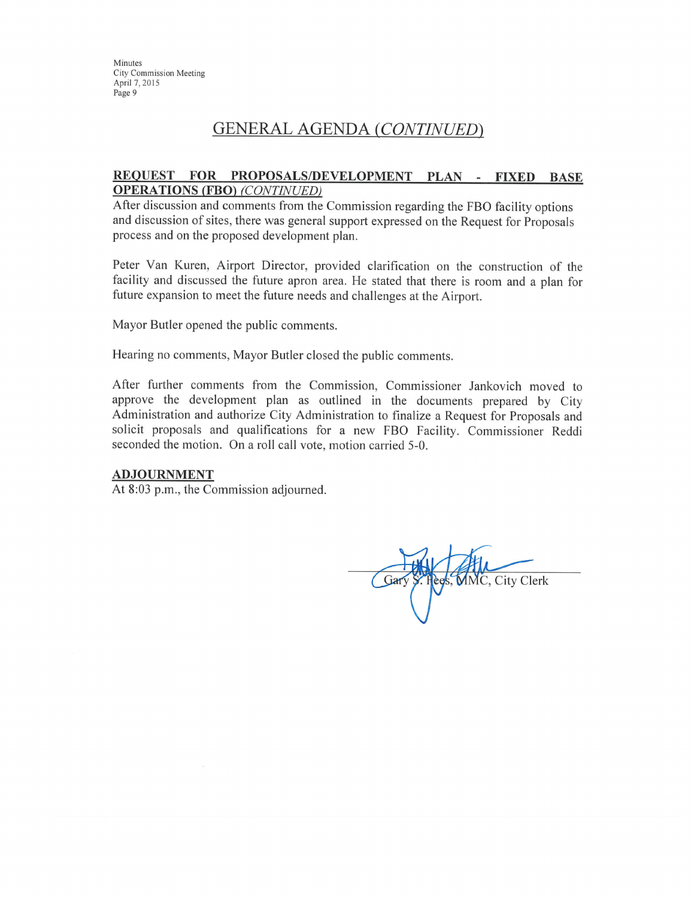Minutes **City Commission Meeting** April 7, 2015 Page 9

## **GENERAL AGENDA (CONTINUED)**

#### REQUEST FOR PROPOSALS/DEVELOPMENT PLAN - FIXED BASE **OPERATIONS (FBO) (CONTINUED)**

After discussion and comments from the Commission regarding the FBO facility options and discussion of sites, there was general support expressed on the Request for Proposals process and on the proposed development plan.

Peter Van Kuren, Airport Director, provided clarification on the construction of the facility and discussed the future apron area. He stated that there is room and a plan for future expansion to meet the future needs and challenges at the Airport.

Mayor Butler opened the public comments.

Hearing no comments, Mayor Butler closed the public comments.

After further comments from the Commission, Commissioner Jankovich moved to approve the development plan as outlined in the documents prepared by City Administration and authorize City Administration to finalize a Request for Proposals and solicit proposals and qualifications for a new FBO Facility. Commissioner Reddi seconded the motion. On a roll call vote, motion carried 5-0.

#### **ADJOURNMENT**

At 8:03 p.m., the Commission adjourned.

Hees, MMC, City Clerk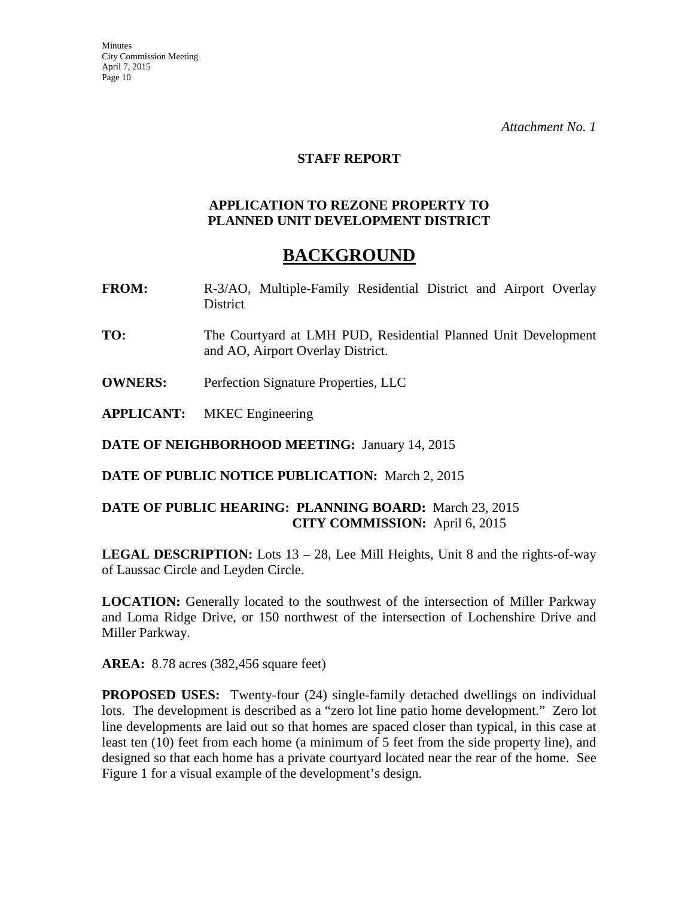#### **STAFF REPORT**

#### **APPLICATION TO REZONE PROPERTY TO PLANNED UNIT DEVELOPMENT DISTRICT**

## **BACKGROUND**

- **FROM:** R-3/AO, Multiple-Family Residential District and Airport Overlay District
- **TO:** The Courtyard at LMH PUD, Residential Planned Unit Development and AO, Airport Overlay District.
- **OWNERS:** Perfection Signature Properties, LLC
- **APPLICANT:** MKEC Engineering

**DATE OF NEIGHBORHOOD MEETING:** January 14, 2015

**DATE OF PUBLIC NOTICE PUBLICATION:** March 2, 2015

## **DATE OF PUBLIC HEARING: PLANNING BOARD:** March 23, 2015 **CITY COMMISSION:** April 6, 2015

**LEGAL DESCRIPTION:** Lots 13 – 28, Lee Mill Heights, Unit 8 and the rights-of-way of Laussac Circle and Leyden Circle.

**LOCATION:** Generally located to the southwest of the intersection of Miller Parkway and Loma Ridge Drive, or 150 northwest of the intersection of Lochenshire Drive and Miller Parkway.

**AREA:** 8.78 acres (382,456 square feet)

**PROPOSED USES:** Twenty-four (24) single-family detached dwellings on individual lots. The development is described as a "zero lot line patio home development." Zero lot line developments are laid out so that homes are spaced closer than typical, in this case at least ten (10) feet from each home (a minimum of 5 feet from the side property line), and designed so that each home has a private courtyard located near the rear of the home. See Figure 1 for a visual example of the development's design.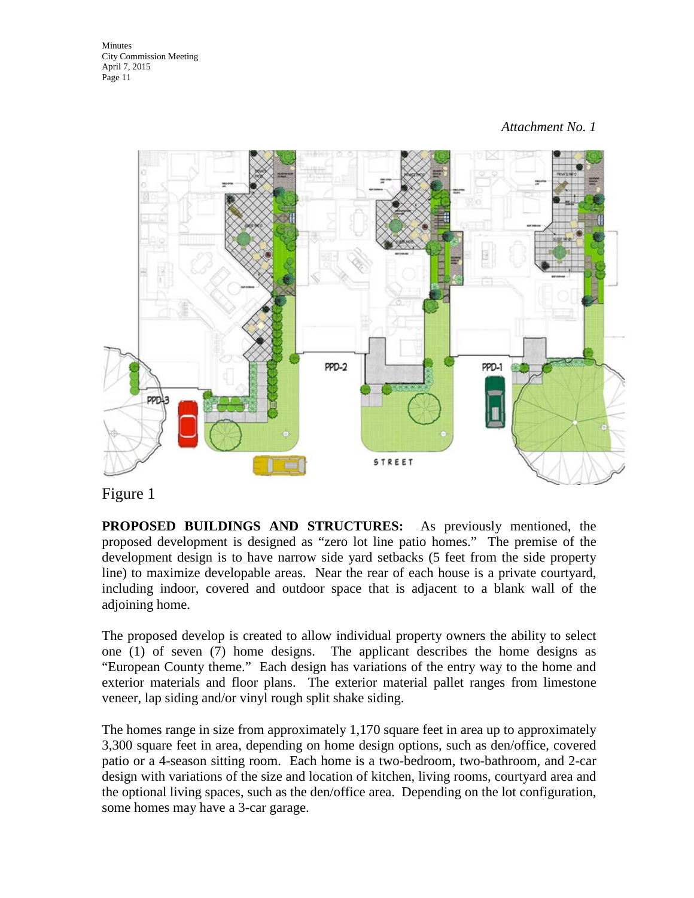

## Figure 1

**PROPOSED BUILDINGS AND STRUCTURES:** As previously mentioned, the proposed development is designed as "zero lot line patio homes." The premise of the development design is to have narrow side yard setbacks (5 feet from the side property line) to maximize developable areas. Near the rear of each house is a private courtyard, including indoor, covered and outdoor space that is adjacent to a blank wall of the adjoining home.

The proposed develop is created to allow individual property owners the ability to select one (1) of seven (7) home designs. The applicant describes the home designs as "European County theme." Each design has variations of the entry way to the home and exterior materials and floor plans. The exterior material pallet ranges from limestone veneer, lap siding and/or vinyl rough split shake siding.

The homes range in size from approximately 1,170 square feet in area up to approximately 3,300 square feet in area, depending on home design options, such as den/office, covered patio or a 4-season sitting room. Each home is a two-bedroom, two-bathroom, and 2-car design with variations of the size and location of kitchen, living rooms, courtyard area and the optional living spaces, such as the den/office area. Depending on the lot configuration, some homes may have a 3-car garage.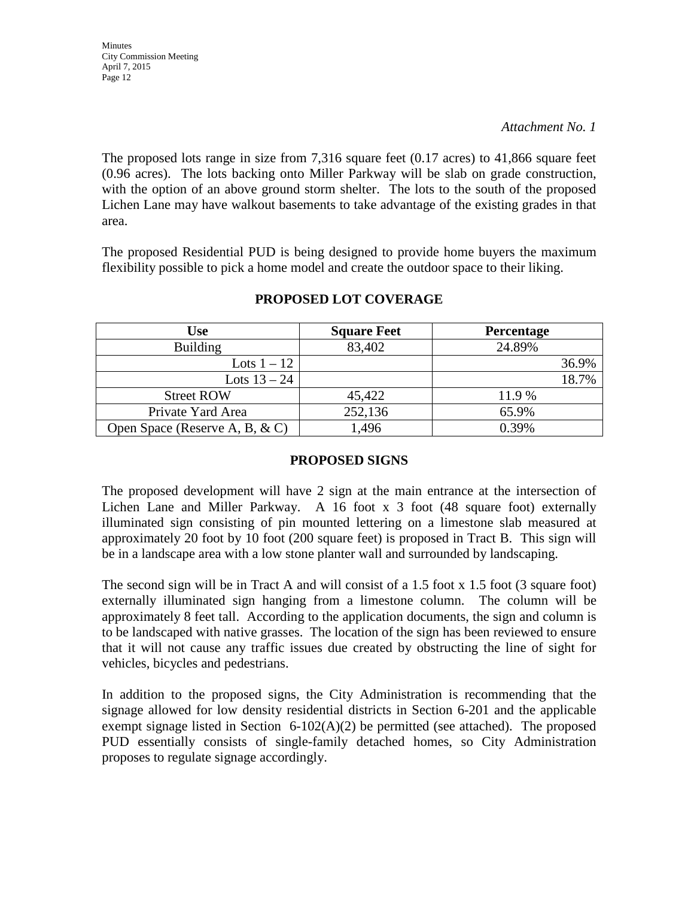The proposed lots range in size from 7,316 square feet (0.17 acres) to 41,866 square feet (0.96 acres). The lots backing onto Miller Parkway will be slab on grade construction, with the option of an above ground storm shelter. The lots to the south of the proposed Lichen Lane may have walkout basements to take advantage of the existing grades in that area.

The proposed Residential PUD is being designed to provide home buyers the maximum flexibility possible to pick a home model and create the outdoor space to their liking.

| <b>Use</b>                         | <b>Square Feet</b> | <b>Percentage</b> |
|------------------------------------|--------------------|-------------------|
| <b>Building</b>                    | 83,402             | 24.89%            |
| Lots $1-12$                        |                    | 36.9%             |
| Lots $13 - 24$                     |                    | 18.7%             |
| <b>Street ROW</b>                  | 45,422             | 11.9 %            |
| Private Yard Area                  | 252,136            | 65.9%             |
| Open Space (Reserve A, B, $\& C$ ) | 1,496              | 0.39%             |

## **PROPOSED LOT COVERAGE**

## **PROPOSED SIGNS**

The proposed development will have 2 sign at the main entrance at the intersection of Lichen Lane and Miller Parkway. A 16 foot x 3 foot (48 square foot) externally illuminated sign consisting of pin mounted lettering on a limestone slab measured at approximately 20 foot by 10 foot (200 square feet) is proposed in Tract B. This sign will be in a landscape area with a low stone planter wall and surrounded by landscaping.

The second sign will be in Tract A and will consist of a 1.5 foot x 1.5 foot (3 square foot) externally illuminated sign hanging from a limestone column. The column will be approximately 8 feet tall. According to the application documents, the sign and column is to be landscaped with native grasses. The location of the sign has been reviewed to ensure that it will not cause any traffic issues due created by obstructing the line of sight for vehicles, bicycles and pedestrians.

In addition to the proposed signs, the City Administration is recommending that the signage allowed for low density residential districts in Section 6-201 and the applicable exempt signage listed in Section  $6-102(A)(2)$  be permitted (see attached). The proposed PUD essentially consists of single-family detached homes, so City Administration proposes to regulate signage accordingly.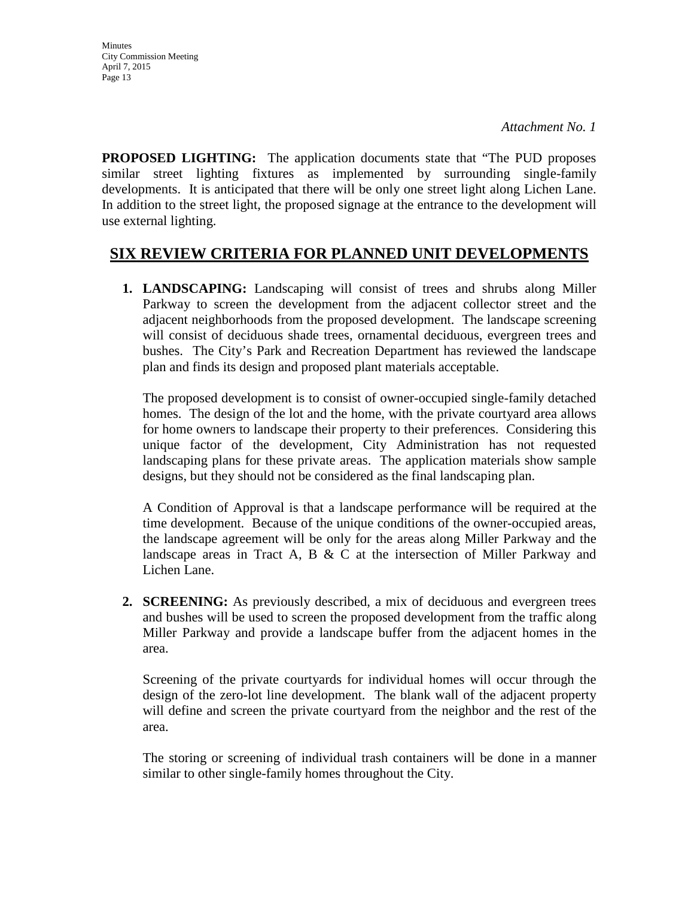**PROPOSED LIGHTING:** The application documents state that "The PUD proposes similar street lighting fixtures as implemented by surrounding single-family developments. It is anticipated that there will be only one street light along Lichen Lane. In addition to the street light, the proposed signage at the entrance to the development will use external lighting.

## **SIX REVIEW CRITERIA FOR PLANNED UNIT DEVELOPMENTS**

**1. LANDSCAPING:** Landscaping will consist of trees and shrubs along Miller Parkway to screen the development from the adjacent collector street and the adjacent neighborhoods from the proposed development. The landscape screening will consist of deciduous shade trees, ornamental deciduous, evergreen trees and bushes. The City's Park and Recreation Department has reviewed the landscape plan and finds its design and proposed plant materials acceptable.

The proposed development is to consist of owner-occupied single-family detached homes. The design of the lot and the home, with the private courtyard area allows for home owners to landscape their property to their preferences. Considering this unique factor of the development, City Administration has not requested landscaping plans for these private areas. The application materials show sample designs, but they should not be considered as the final landscaping plan.

A Condition of Approval is that a landscape performance will be required at the time development. Because of the unique conditions of the owner-occupied areas, the landscape agreement will be only for the areas along Miller Parkway and the landscape areas in Tract A, B  $&$  C at the intersection of Miller Parkway and Lichen Lane.

**2. SCREENING:** As previously described, a mix of deciduous and evergreen trees and bushes will be used to screen the proposed development from the traffic along Miller Parkway and provide a landscape buffer from the adjacent homes in the area.

Screening of the private courtyards for individual homes will occur through the design of the zero-lot line development. The blank wall of the adjacent property will define and screen the private courtyard from the neighbor and the rest of the area.

The storing or screening of individual trash containers will be done in a manner similar to other single-family homes throughout the City.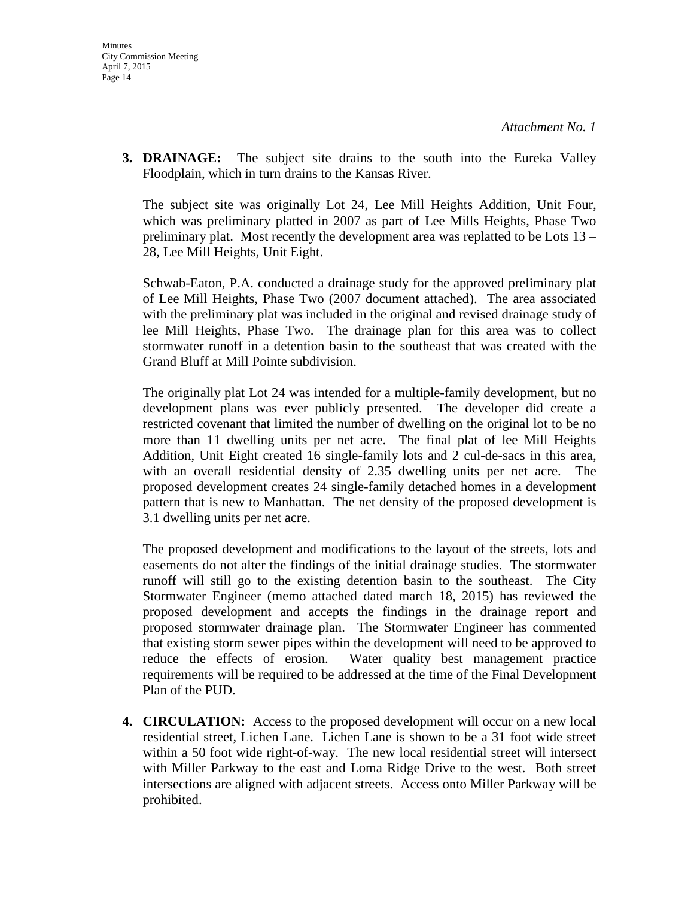**3. DRAINAGE:** The subject site drains to the south into the Eureka Valley Floodplain, which in turn drains to the Kansas River.

The subject site was originally Lot 24, Lee Mill Heights Addition, Unit Four, which was preliminary platted in 2007 as part of Lee Mills Heights, Phase Two preliminary plat. Most recently the development area was replatted to be Lots 13 – 28, Lee Mill Heights, Unit Eight.

Schwab-Eaton, P.A. conducted a drainage study for the approved preliminary plat of Lee Mill Heights, Phase Two (2007 document attached). The area associated with the preliminary plat was included in the original and revised drainage study of lee Mill Heights, Phase Two. The drainage plan for this area was to collect stormwater runoff in a detention basin to the southeast that was created with the Grand Bluff at Mill Pointe subdivision.

The originally plat Lot 24 was intended for a multiple-family development, but no development plans was ever publicly presented. The developer did create a restricted covenant that limited the number of dwelling on the original lot to be no more than 11 dwelling units per net acre. The final plat of lee Mill Heights Addition, Unit Eight created 16 single-family lots and 2 cul-de-sacs in this area, with an overall residential density of 2.35 dwelling units per net acre. The proposed development creates 24 single-family detached homes in a development pattern that is new to Manhattan. The net density of the proposed development is 3.1 dwelling units per net acre.

The proposed development and modifications to the layout of the streets, lots and easements do not alter the findings of the initial drainage studies. The stormwater runoff will still go to the existing detention basin to the southeast. The City Stormwater Engineer (memo attached dated march 18, 2015) has reviewed the proposed development and accepts the findings in the drainage report and proposed stormwater drainage plan. The Stormwater Engineer has commented that existing storm sewer pipes within the development will need to be approved to reduce the effects of erosion. Water quality best management practice requirements will be required to be addressed at the time of the Final Development Plan of the PUD.

**4. CIRCULATION:** Access to the proposed development will occur on a new local residential street, Lichen Lane. Lichen Lane is shown to be a 31 foot wide street within a 50 foot wide right-of-way. The new local residential street will intersect with Miller Parkway to the east and Loma Ridge Drive to the west. Both street intersections are aligned with adjacent streets. Access onto Miller Parkway will be prohibited.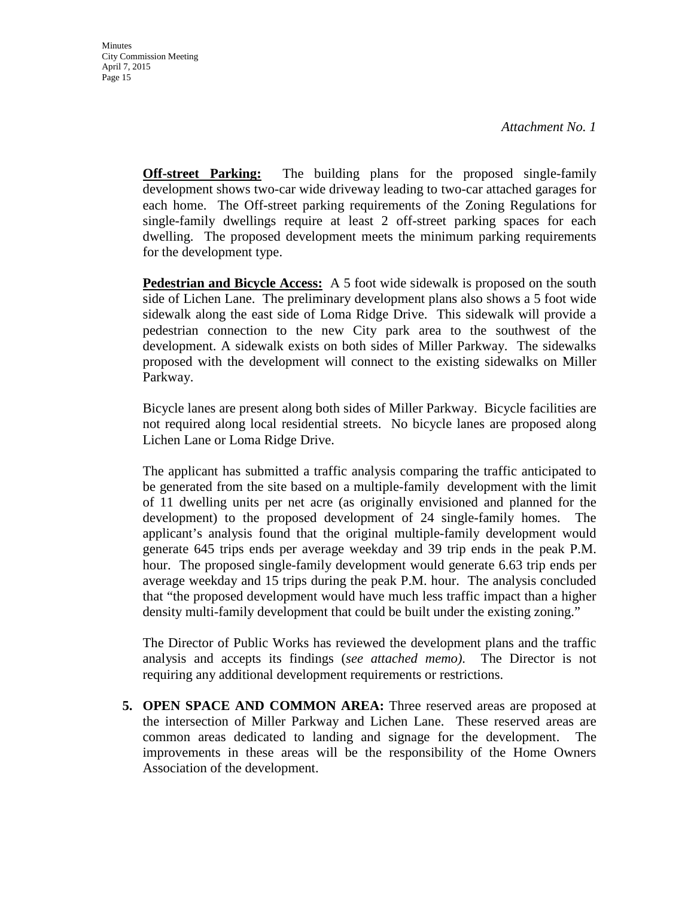**Off-street Parking:** The building plans for the proposed single-family development shows two-car wide driveway leading to two-car attached garages for each home. The Off-street parking requirements of the Zoning Regulations for single-family dwellings require at least 2 off-street parking spaces for each dwelling. The proposed development meets the minimum parking requirements for the development type.

**Pedestrian and Bicycle Access:** A 5 foot wide sidewalk is proposed on the south side of Lichen Lane. The preliminary development plans also shows a 5 foot wide sidewalk along the east side of Loma Ridge Drive. This sidewalk will provide a pedestrian connection to the new City park area to the southwest of the development. A sidewalk exists on both sides of Miller Parkway. The sidewalks proposed with the development will connect to the existing sidewalks on Miller Parkway.

Bicycle lanes are present along both sides of Miller Parkway. Bicycle facilities are not required along local residential streets. No bicycle lanes are proposed along Lichen Lane or Loma Ridge Drive.

The applicant has submitted a traffic analysis comparing the traffic anticipated to be generated from the site based on a multiple-family development with the limit of 11 dwelling units per net acre (as originally envisioned and planned for the development) to the proposed development of 24 single-family homes. The applicant's analysis found that the original multiple-family development would generate 645 trips ends per average weekday and 39 trip ends in the peak P.M. hour. The proposed single-family development would generate 6.63 trip ends per average weekday and 15 trips during the peak P.M. hour. The analysis concluded that "the proposed development would have much less traffic impact than a higher density multi-family development that could be built under the existing zoning."

The Director of Public Works has reviewed the development plans and the traffic analysis and accepts its findings (*see attached memo)*. The Director is not requiring any additional development requirements or restrictions.

**5. OPEN SPACE AND COMMON AREA:** Three reserved areas are proposed at the intersection of Miller Parkway and Lichen Lane. These reserved areas are common areas dedicated to landing and signage for the development. The improvements in these areas will be the responsibility of the Home Owners Association of the development.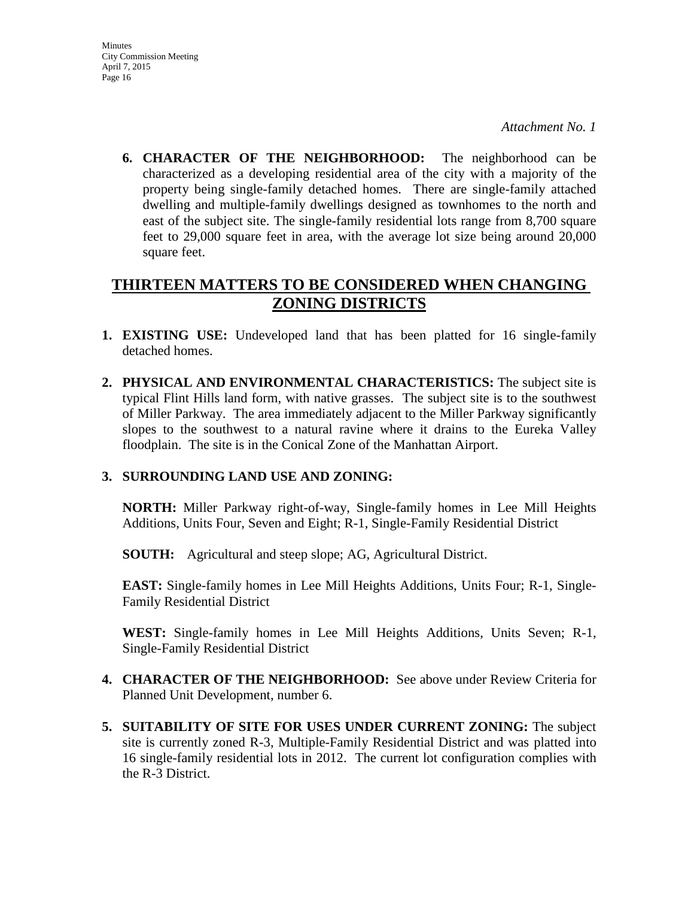**Minutes** City Commission Meeting April 7, 2015 Page 16

*Attachment No. 1* 

**6. CHARACTER OF THE NEIGHBORHOOD:** The neighborhood can be characterized as a developing residential area of the city with a majority of the property being single-family detached homes. There are single-family attached dwelling and multiple-family dwellings designed as townhomes to the north and east of the subject site. The single-family residential lots range from 8,700 square feet to 29,000 square feet in area, with the average lot size being around 20,000 square feet.

## **THIRTEEN MATTERS TO BE CONSIDERED WHEN CHANGING ZONING DISTRICTS**

- **1. EXISTING USE:** Undeveloped land that has been platted for 16 single-family detached homes.
- **2. PHYSICAL AND ENVIRONMENTAL CHARACTERISTICS:** The subject site is typical Flint Hills land form, with native grasses. The subject site is to the southwest of Miller Parkway. The area immediately adjacent to the Miller Parkway significantly slopes to the southwest to a natural ravine where it drains to the Eureka Valley floodplain. The site is in the Conical Zone of the Manhattan Airport.

## **3. SURROUNDING LAND USE AND ZONING:**

**NORTH:** Miller Parkway right-of-way, Single-family homes in Lee Mill Heights Additions, Units Four, Seven and Eight; R-1, Single-Family Residential District

**SOUTH:** Agricultural and steep slope; AG, Agricultural District.

**EAST:** Single-family homes in Lee Mill Heights Additions, Units Four; R-1, Single-Family Residential District

**WEST:** Single-family homes in Lee Mill Heights Additions, Units Seven; R-1, Single-Family Residential District

- **4. CHARACTER OF THE NEIGHBORHOOD:** See above under Review Criteria for Planned Unit Development, number 6.
- **5. SUITABILITY OF SITE FOR USES UNDER CURRENT ZONING:** The subject site is currently zoned R-3, Multiple-Family Residential District and was platted into 16 single-family residential lots in 2012. The current lot configuration complies with the R-3 District.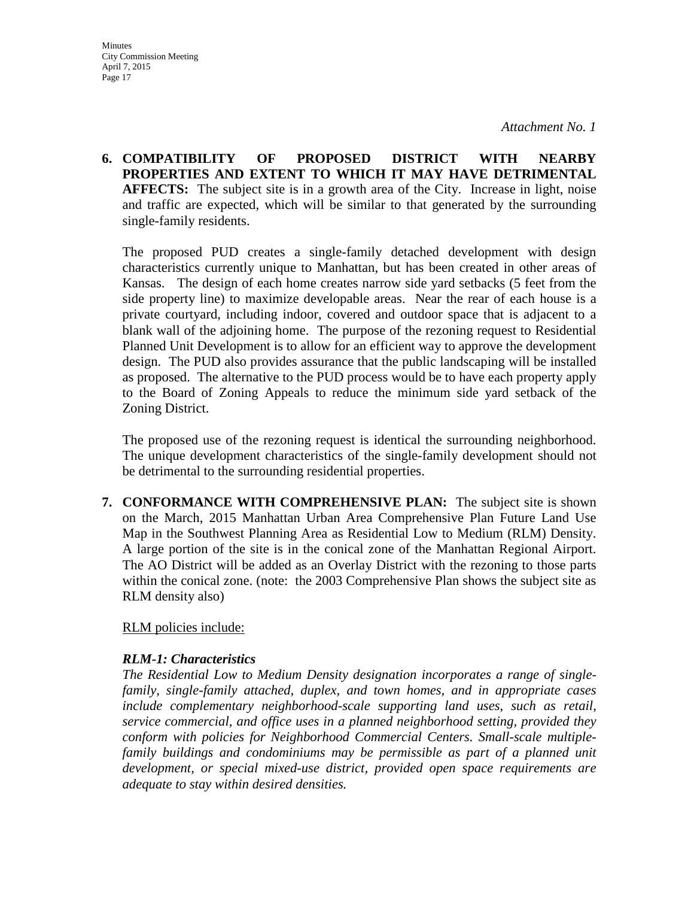**6. COMPATIBILITY OF PROPOSED DISTRICT WITH NEARBY PROPERTIES AND EXTENT TO WHICH IT MAY HAVE DETRIMENTAL AFFECTS:** The subject site is in a growth area of the City. Increase in light, noise and traffic are expected, which will be similar to that generated by the surrounding single-family residents.

The proposed PUD creates a single-family detached development with design characteristics currently unique to Manhattan, but has been created in other areas of Kansas. The design of each home creates narrow side yard setbacks (5 feet from the side property line) to maximize developable areas. Near the rear of each house is a private courtyard, including indoor, covered and outdoor space that is adjacent to a blank wall of the adjoining home. The purpose of the rezoning request to Residential Planned Unit Development is to allow for an efficient way to approve the development design. The PUD also provides assurance that the public landscaping will be installed as proposed. The alternative to the PUD process would be to have each property apply to the Board of Zoning Appeals to reduce the minimum side yard setback of the Zoning District.

The proposed use of the rezoning request is identical the surrounding neighborhood. The unique development characteristics of the single-family development should not be detrimental to the surrounding residential properties.

**7. CONFORMANCE WITH COMPREHENSIVE PLAN:** The subject site is shown on the March, 2015 Manhattan Urban Area Comprehensive Plan Future Land Use Map in the Southwest Planning Area as Residential Low to Medium (RLM) Density. A large portion of the site is in the conical zone of the Manhattan Regional Airport. The AO District will be added as an Overlay District with the rezoning to those parts within the conical zone. (note: the 2003 Comprehensive Plan shows the subject site as RLM density also)

#### RLM policies include:

#### *RLM-1: Characteristics*

*The Residential Low to Medium Density designation incorporates a range of singlefamily, single-family attached, duplex, and town homes, and in appropriate cases include complementary neighborhood-scale supporting land uses, such as retail, service commercial, and office uses in a planned neighborhood setting, provided they conform with policies for Neighborhood Commercial Centers. Small-scale multiplefamily buildings and condominiums may be permissible as part of a planned unit development, or special mixed-use district, provided open space requirements are adequate to stay within desired densities.*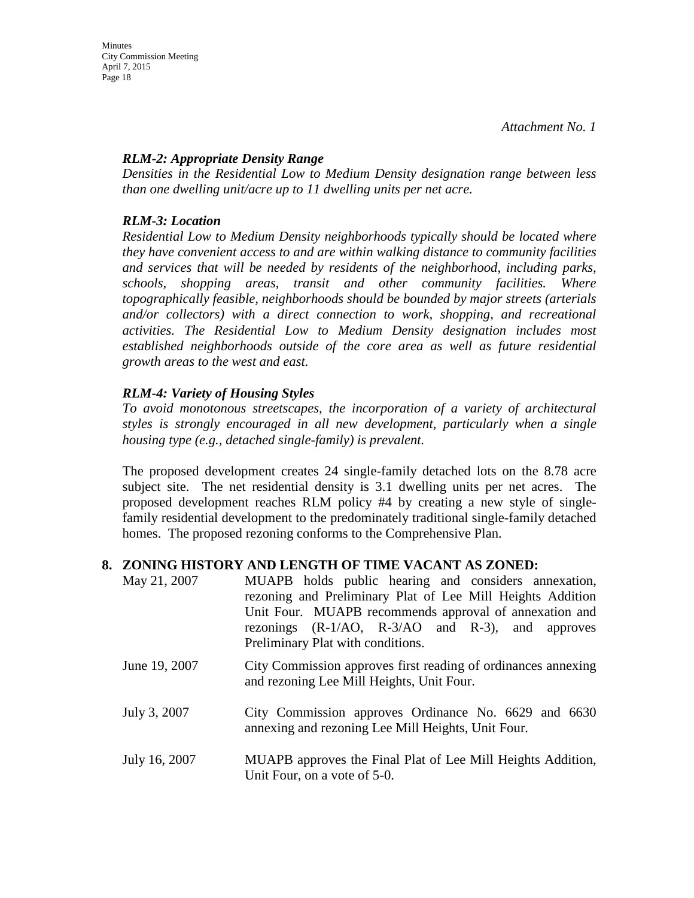## *RLM-2: Appropriate Density Range*

*Densities in the Residential Low to Medium Density designation range between less than one dwelling unit/acre up to 11 dwelling units per net acre.* 

## *RLM-3: Location*

*Residential Low to Medium Density neighborhoods typically should be located where they have convenient access to and are within walking distance to community facilities and services that will be needed by residents of the neighborhood, including parks, schools, shopping areas, transit and other community facilities. Where topographically feasible, neighborhoods should be bounded by major streets (arterials and/or collectors) with a direct connection to work, shopping, and recreational activities. The Residential Low to Medium Density designation includes most established neighborhoods outside of the core area as well as future residential growth areas to the west and east.* 

## *RLM-4: Variety of Housing Styles*

*To avoid monotonous streetscapes, the incorporation of a variety of architectural styles is strongly encouraged in all new development, particularly when a single housing type (e.g., detached single-family) is prevalent.*

The proposed development creates 24 single-family detached lots on the 8.78 acre subject site. The net residential density is 3.1 dwelling units per net acres. The proposed development reaches RLM policy #4 by creating a new style of singlefamily residential development to the predominately traditional single-family detached homes. The proposed rezoning conforms to the Comprehensive Plan.

## **8. ZONING HISTORY AND LENGTH OF TIME VACANT AS ZONED:**

- May 21, 2007 MUAPB holds public hearing and considers annexation, rezoning and Preliminary Plat of Lee Mill Heights Addition Unit Four. MUAPB recommends approval of annexation and rezonings (R-1/AO, R-3/AO and R-3), and approves Preliminary Plat with conditions.
- June 19, 2007 City Commission approves first reading of ordinances annexing and rezoning Lee Mill Heights, Unit Four.
- July 3, 2007 City Commission approves Ordinance No. 6629 and 6630 annexing and rezoning Lee Mill Heights, Unit Four.
- July 16, 2007 MUAPB approves the Final Plat of Lee Mill Heights Addition, Unit Four, on a vote of 5-0.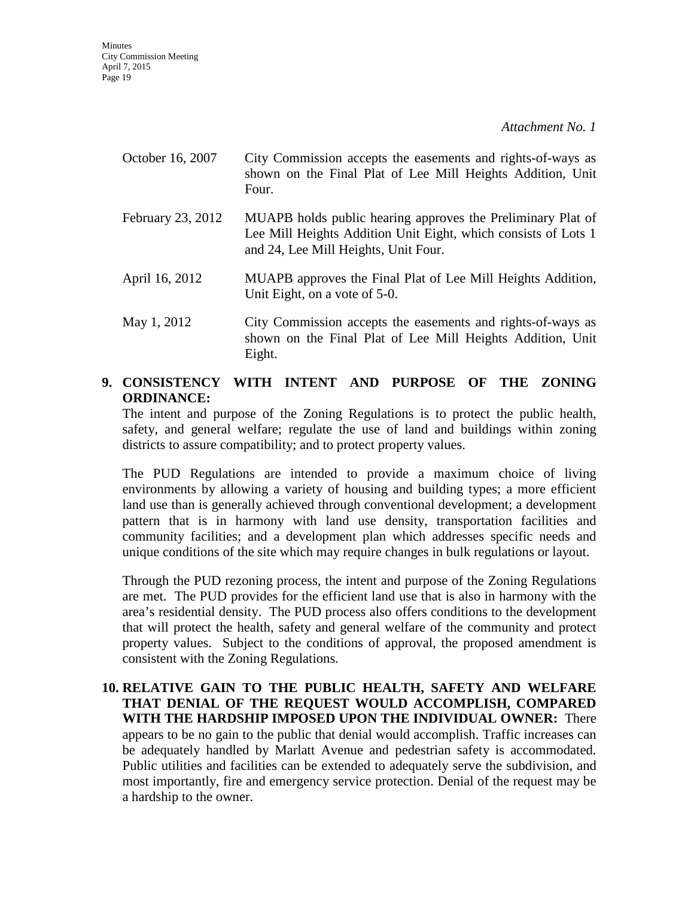| October 16, 2007  | City Commission accepts the easements and rights-of-ways as<br>shown on the Final Plat of Lee Mill Heights Addition, Unit<br>Four.                                    |
|-------------------|-----------------------------------------------------------------------------------------------------------------------------------------------------------------------|
| February 23, 2012 | MUAPB holds public hearing approves the Preliminary Plat of<br>Lee Mill Heights Addition Unit Eight, which consists of Lots 1<br>and 24, Lee Mill Heights, Unit Four. |
| April 16, 2012    | MUAPB approves the Final Plat of Lee Mill Heights Addition,<br>Unit Eight, on a vote of 5-0.                                                                          |

May 1, 2012 City Commission accepts the easements and rights-of-ways as shown on the Final Plat of Lee Mill Heights Addition, Unit Eight.

## **9. CONSISTENCY WITH INTENT AND PURPOSE OF THE ZONING ORDINANCE:**

The intent and purpose of the Zoning Regulations is to protect the public health, safety, and general welfare; regulate the use of land and buildings within zoning districts to assure compatibility; and to protect property values.

The PUD Regulations are intended to provide a maximum choice of living environments by allowing a variety of housing and building types; a more efficient land use than is generally achieved through conventional development; a development pattern that is in harmony with land use density, transportation facilities and community facilities; and a development plan which addresses specific needs and unique conditions of the site which may require changes in bulk regulations or layout.

Through the PUD rezoning process, the intent and purpose of the Zoning Regulations are met. The PUD provides for the efficient land use that is also in harmony with the area's residential density. The PUD process also offers conditions to the development that will protect the health, safety and general welfare of the community and protect property values. Subject to the conditions of approval, the proposed amendment is consistent with the Zoning Regulations.

**10. RELATIVE GAIN TO THE PUBLIC HEALTH, SAFETY AND WELFARE THAT DENIAL OF THE REQUEST WOULD ACCOMPLISH, COMPARED WITH THE HARDSHIP IMPOSED UPON THE INDIVIDUAL OWNER:** There appears to be no gain to the public that denial would accomplish. Traffic increases can be adequately handled by Marlatt Avenue and pedestrian safety is accommodated. Public utilities and facilities can be extended to adequately serve the subdivision, and most importantly, fire and emergency service protection. Denial of the request may be a hardship to the owner.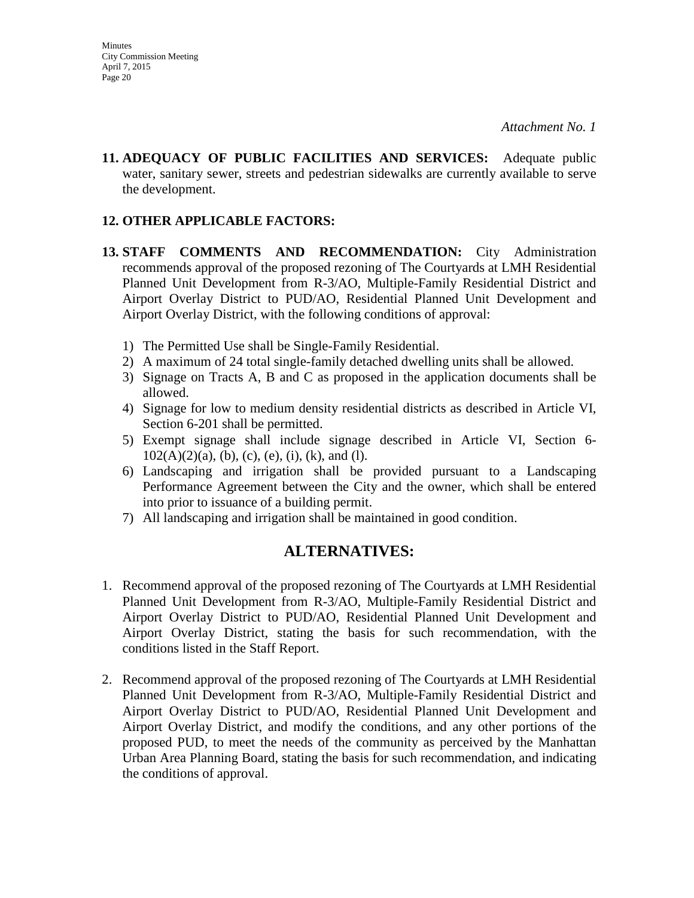**11. ADEQUACY OF PUBLIC FACILITIES AND SERVICES:** Adequate public water, sanitary sewer, streets and pedestrian sidewalks are currently available to serve the development.

#### **12. OTHER APPLICABLE FACTORS:**

- **13. STAFF COMMENTS AND RECOMMENDATION:** City Administration recommends approval of the proposed rezoning of The Courtyards at LMH Residential Planned Unit Development from R-3/AO, Multiple-Family Residential District and Airport Overlay District to PUD/AO, Residential Planned Unit Development and Airport Overlay District, with the following conditions of approval:
	- 1) The Permitted Use shall be Single-Family Residential.
	- 2) A maximum of 24 total single-family detached dwelling units shall be allowed.
	- 3) Signage on Tracts A, B and C as proposed in the application documents shall be allowed.
	- 4) Signage for low to medium density residential districts as described in Article VI, Section 6-201 shall be permitted.
	- 5) Exempt signage shall include signage described in Article VI, Section 6-  $102(A)(2)(a)$ , (b), (c), (e), (i), (k), and (1).
	- 6) Landscaping and irrigation shall be provided pursuant to a Landscaping Performance Agreement between the City and the owner, which shall be entered into prior to issuance of a building permit.
	- 7) All landscaping and irrigation shall be maintained in good condition.

## **ALTERNATIVES:**

- 1. Recommend approval of the proposed rezoning of The Courtyards at LMH Residential Planned Unit Development from R-3/AO, Multiple-Family Residential District and Airport Overlay District to PUD/AO, Residential Planned Unit Development and Airport Overlay District, stating the basis for such recommendation, with the conditions listed in the Staff Report.
- 2. Recommend approval of the proposed rezoning of The Courtyards at LMH Residential Planned Unit Development from R-3/AO, Multiple-Family Residential District and Airport Overlay District to PUD/AO, Residential Planned Unit Development and Airport Overlay District, and modify the conditions, and any other portions of the proposed PUD, to meet the needs of the community as perceived by the Manhattan Urban Area Planning Board, stating the basis for such recommendation, and indicating the conditions of approval.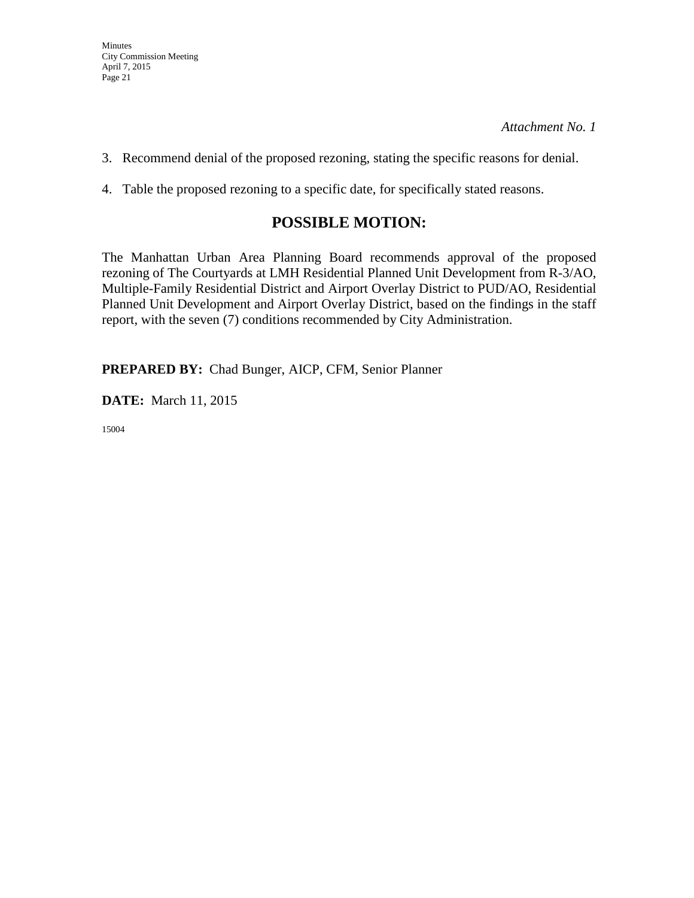- 3. Recommend denial of the proposed rezoning, stating the specific reasons for denial.
- 4. Table the proposed rezoning to a specific date, for specifically stated reasons.

## **POSSIBLE MOTION:**

The Manhattan Urban Area Planning Board recommends approval of the proposed rezoning of The Courtyards at LMH Residential Planned Unit Development from R-3/AO, Multiple-Family Residential District and Airport Overlay District to PUD/AO, Residential Planned Unit Development and Airport Overlay District, based on the findings in the staff report, with the seven (7) conditions recommended by City Administration.

**PREPARED BY:** Chad Bunger, AICP, CFM, Senior Planner

**DATE:** March 11, 2015

15004